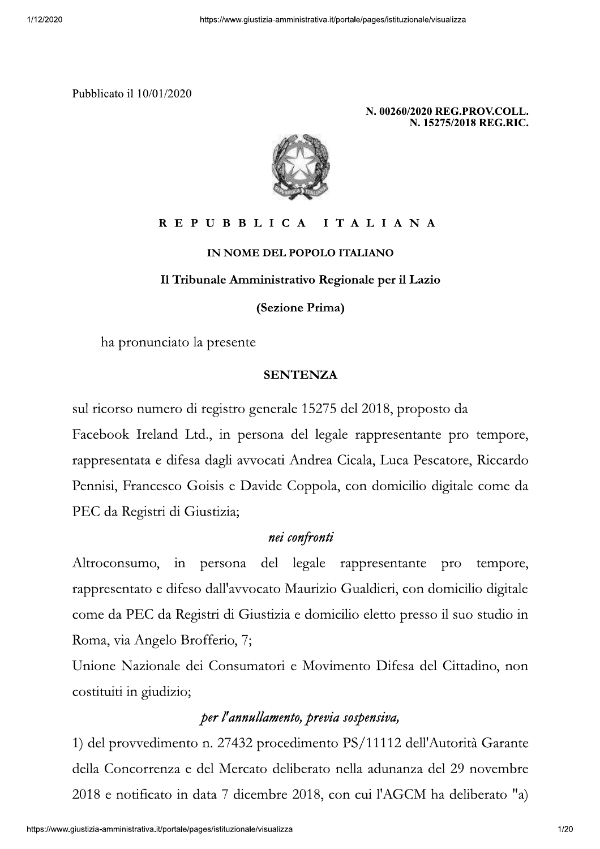

IN NOME DEL POPOLO ITALIANO

Il Tribunale Amministrativo Regionale per il Lazio

(Sezione Prima)

ha pronunciato la presente

### **SENTENZA**

sul ricorso numero di registro generale 15275 del 2018, proposto da Facebook Ireland Ltd., in persona del legale rappresentante pro tempore, rappresentata e difesa dagli avvocati Andrea Cicala, Luca Pescatore, Riccardo Pennisi, Francesco Goisis e Davide Coppola, con domicilio digitale come da PEC da Registri di Giustizia;

## nei confronti

Altroconsumo, in persona del legale rappresentante pro tempore, rappresentato e difeso dall'avvocato Maurizio Gualdieri, con domicilio digitale come da PEC da Registri di Giustizia e domicilio eletto presso il suo studio in Roma, via Angelo Brofferio, 7;

Unione Nazionale dei Consumatori e Movimento Difesa del Cittadino, non costituiti in giudizio;

# per l'annullamento, previa sospensiva,

1) del provvedimento n. 27432 procedimento PS/11112 dell'Autorità Garante della Concorrenza e del Mercato deliberato nella adunanza del 29 novembre 2018 e notificato in data 7 dicembre 2018, con cui l'AGCM ha deliberato "a)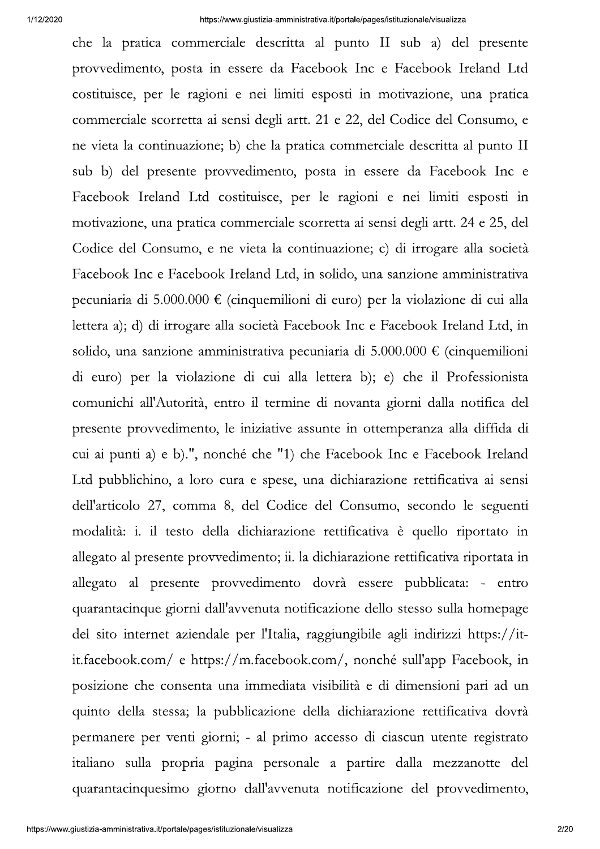che la pratica commerciale descritta al punto II sub a) del presente provvedimento, posta in essere da Facebook Inc e Facebook Ireland Ltd costituisce, per le ragioni e nei limiti esposti in motivazione, una pratica commerciale scorretta ai sensi degli artt. 21 e 22, del Codice del Consumo, e ne vieta la continuazione; b) che la pratica commerciale descritta al punto II sub b) del presente provvedimento, posta in essere da Facebook Inc e Facebook Ireland Ltd costituisce, per le ragioni e nei limiti esposti in motivazione, una pratica commerciale scorretta ai sensi degli artt. 24 e 25, del Codice del Consumo, e ne vieta la continuazione; c) di irrogare alla società Facebook Inc e Facebook Ireland Ltd, in solido, una sanzione amministrativa pecuniaria di 5.000.000  $\epsilon$  (cinquemilioni di euro) per la violazione di cui alla lettera a); d) di irrogare alla società Facebook Inc e Facebook Ireland Ltd, in solido, una sanzione amministrativa pecuniaria di 5.000.000 € (cinquemilioni di euro) per la violazione di cui alla lettera b); e) che il Professionista comunichi all'Autorità, entro il termine di novanta giorni dalla notifica del presente provvedimento, le iniziative assunte in ottemperanza alla diffida di cui ai punti a) e b).", nonché che "1) che Facebook Inc e Facebook Ireland Ltd pubblichino, a loro cura e spese, una dichiarazione rettificativa ai sensi dell'articolo 27, comma 8, del Codice del Consumo, secondo le seguenti modalità: i. il testo della dichiarazione rettificativa è quello riportato in allegato al presente provvedimento; ii. la dichiarazione rettificativa riportata in allegato al presente provvedimento dovrà essere pubblicata: - entro quarantacinque giorni dall'avvenuta notificazione dello stesso sulla homepage del sito internet aziendale per l'Italia, raggiungibile agli indirizzi https://itit.facebook.com/ e https://m.facebook.com/, nonché sull'app Facebook, in posizione che consenta una immediata visibilità e di dimensioni pari ad un quinto della stessa; la pubblicazione della dichiarazione rettificativa dovrà permanere per venti giorni; - al primo accesso di ciascun utente registrato italiano sulla propria pagina personale a partire dalla mezzanotte del quarantacinquesimo giorno dall'avvenuta notificazione del provvedimento,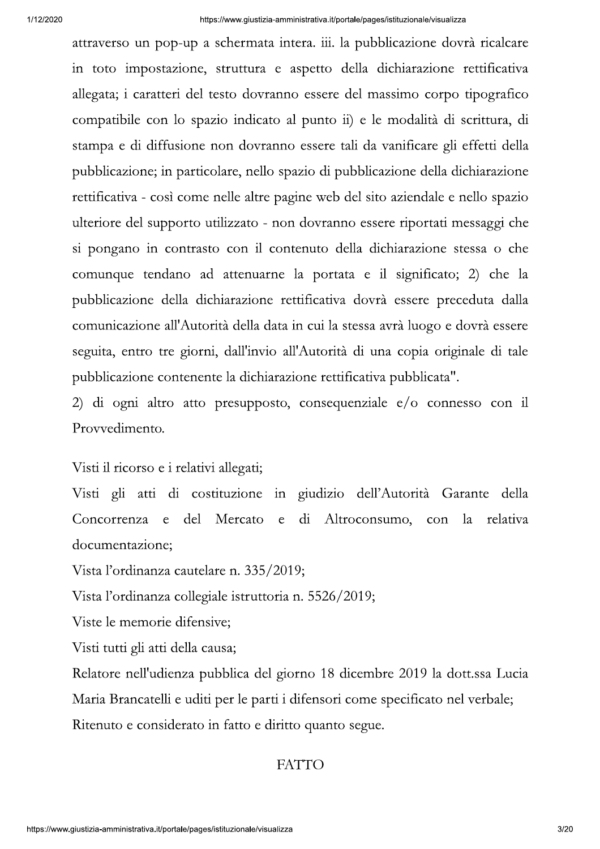attraverso un pop-up a schermata intera. iii. la pubblicazione dovrà ricalcare in toto impostazione, struttura e aspetto della dichiarazione rettificativa allegata; i caratteri del testo dovranno essere del massimo corpo tipografico compatibile con lo spazio indicato al punto ii) e le modalità di scrittura, di stampa e di diffusione non dovranno essere tali da vanificare gli effetti della pubblicazione; in particolare, nello spazio di pubblicazione della dichiarazione rettificativa - così come nelle altre pagine web del sito aziendale e nello spazio ulteriore del supporto utilizzato - non dovranno essere riportati messaggi che si pongano in contrasto con il contenuto della dichiarazione stessa o che comunque tendano ad attenuarne la portata e il significato; 2) che la pubblicazione della dichiarazione rettificativa dovrà essere preceduta dalla comunicazione all'Autorità della data in cui la stessa avrà luogo e dovrà essere seguita, entro tre giorni, dall'invio all'Autorità di una copia originale di tale pubblicazione contenente la dichiarazione rettificativa pubblicata".

2) di ogni altro atto presupposto, consequenziale  $e/o$  connesso con il Provvedimento.

Visti il ricorso e i relativi allegati;

Visti gli atti di costituzione in giudizio dell'Autorità Garante della Concorrenza e del Mercato  $\epsilon$  $di$ Altroconsumo, con la relativa documentazione;

Vista l'ordinanza cautelare n. 335/2019;

Vista l'ordinanza collegiale istruttoria n. 5526/2019;

Viste le memorie difensive;

Visti tutti gli atti della causa;

Relatore nell'udienza pubblica del giorno 18 dicembre 2019 la dott.ssa Lucia Maria Brancatelli e uditi per le parti i difensori come specificato nel verbale; Ritenuto e considerato in fatto e diritto quanto segue.

#### **FATTO**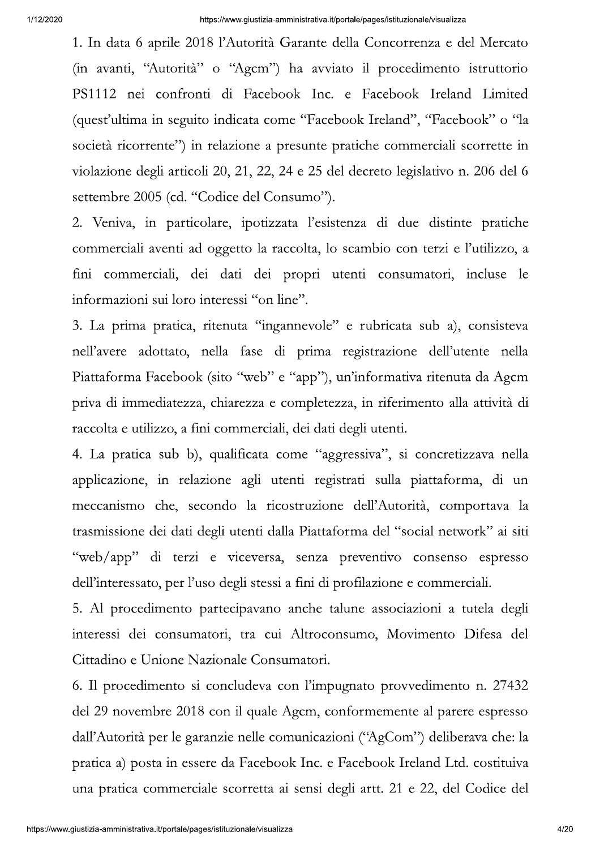1. In data 6 aprile 2018 l'Autorità Garante della Concorrenza e del Mercato (in avanti, "Autorità" o "Agcm") ha avviato il procedimento istruttorio PS1112 nei confronti di Facebook Inc. e Facebook Ireland Limited (quest'ultima in seguito indicata come "Facebook Ireland", "Facebook" o "la società ricorrente") in relazione a presunte pratiche commerciali scorrette in violazione degli articoli 20, 21, 22, 24 e 25 del decreto legislativo n. 206 del 6 settembre 2005 (cd. "Codice del Consumo").

2. Veniva, in particolare, ipotizzata l'esistenza di due distinte pratiche commerciali aventi ad oggetto la raccolta, lo scambio con terzi e l'utilizzo, a fini commerciali, dei dati dei propri utenti consumatori, incluse le informazioni sui loro interessi "on line".

3. La prima pratica, ritenuta "ingannevole" e rubricata sub a), consisteva nell'avere adottato, nella fase di prima registrazione dell'utente nella Piattaforma Facebook (sito "web" e "app"), un'informativa ritenuta da Agcm priva di immediatezza, chiarezza e completezza, in riferimento alla attività di raccolta e utilizzo, a fini commerciali, dei dati degli utenti.

4. La pratica sub b), qualificata come "aggressiva", si concretizzava nella applicazione, in relazione agli utenti registrati sulla piattaforma, di un meccanismo che, secondo la ricostruzione dell'Autorità, comportava la trasmissione dei dati degli utenti dalla Piattaforma del "social network" ai siti "web/app" di terzi e viceversa, senza preventivo consenso espresso dell'interessato, per l'uso degli stessi a fini di profilazione e commerciali.

5. Al procedimento partecipavano anche talune associazioni a tutela degli interessi dei consumatori, tra cui Altroconsumo, Movimento Difesa del Cittadino e Unione Nazionale Consumatori.

6. Il procedimento si concludeva con l'impugnato provvedimento n. 27432 del 29 novembre 2018 con il quale Agcm, conformemente al parere espresso dall'Autorità per le garanzie nelle comunicazioni ("AgCom") deliberava che: la pratica a) posta in essere da Facebook Inc. e Facebook Ireland Ltd. costituiva una pratica commerciale scorretta ai sensi degli artt. 21 e 22, del Codice del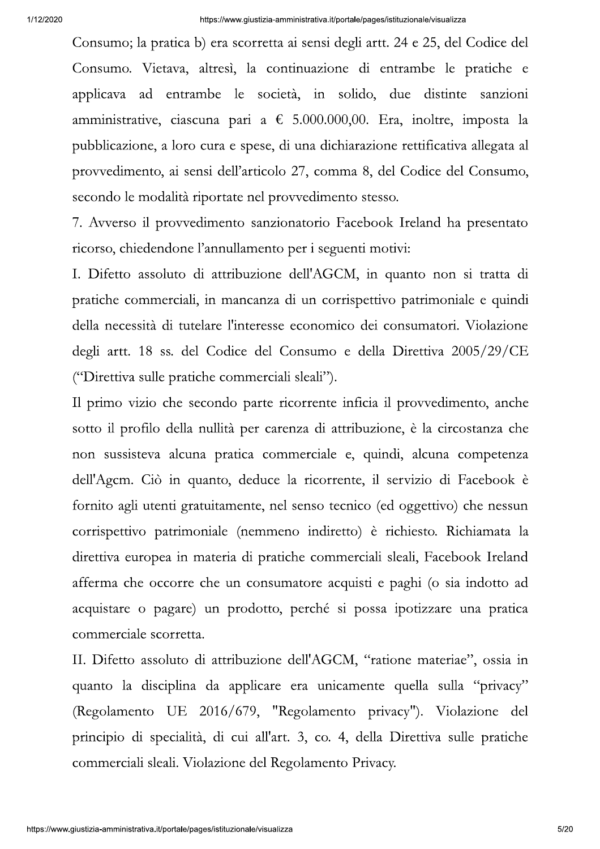Consumo; la pratica b) era scorretta ai sensi degli artt. 24 e 25, del Codice del Consumo. Vietava, altresì, la continuazione di entrambe le pratiche e applicava ad entrambe le società, in solido, due distinte sanzioni amministrative, ciascuna pari a  $\epsilon$  5.000.000,00. Era, inoltre, imposta la pubblicazione, a loro cura e spese, di una dichiarazione rettificativa allegata al provvedimento, ai sensi dell'articolo 27, comma 8, del Codice del Consumo, secondo le modalità riportate nel provvedimento stesso.

7. Avverso il provvedimento sanzionatorio Facebook Ireland ha presentato ricorso, chiedendone l'annullamento per i seguenti motivi:

I. Difetto assoluto di attribuzione dell'AGCM, in quanto non si tratta di pratiche commerciali, in mancanza di un corrispettivo patrimoniale e quindi della necessità di tutelare l'interesse economico dei consumatori. Violazione degli artt. 18 ss. del Codice del Consumo e della Direttiva 2005/29/CE ("Direttiva sulle pratiche commerciali sleali").

Il primo vizio che secondo parte ricorrente inficia il provvedimento, anche sotto il profilo della nullità per carenza di attribuzione, è la circostanza che non sussisteva alcuna pratica commerciale e, quindi, alcuna competenza dell'Agcm. Ciò in quanto, deduce la ricorrente, il servizio di Facebook è fornito agli utenti gratuitamente, nel senso tecnico (ed oggettivo) che nessun corrispettivo patrimoniale (nemmeno indiretto) è richiesto. Richiamata la direttiva europea in materia di pratiche commerciali sleali, Facebook Ireland afferma che occorre che un consumatore acquisti e paghi (o sia indotto ad acquistare o pagare) un prodotto, perché si possa ipotizzare una pratica commerciale scorretta.

II. Difetto assoluto di attribuzione dell'AGCM, "ratione materiae", ossia in quanto la disciplina da applicare era unicamente quella sulla "privacy" (Regolamento UE 2016/679, "Regolamento privacy"). Violazione del principio di specialità, di cui all'art. 3, co. 4, della Direttiva sulle pratiche commerciali sleali. Violazione del Regolamento Privacy.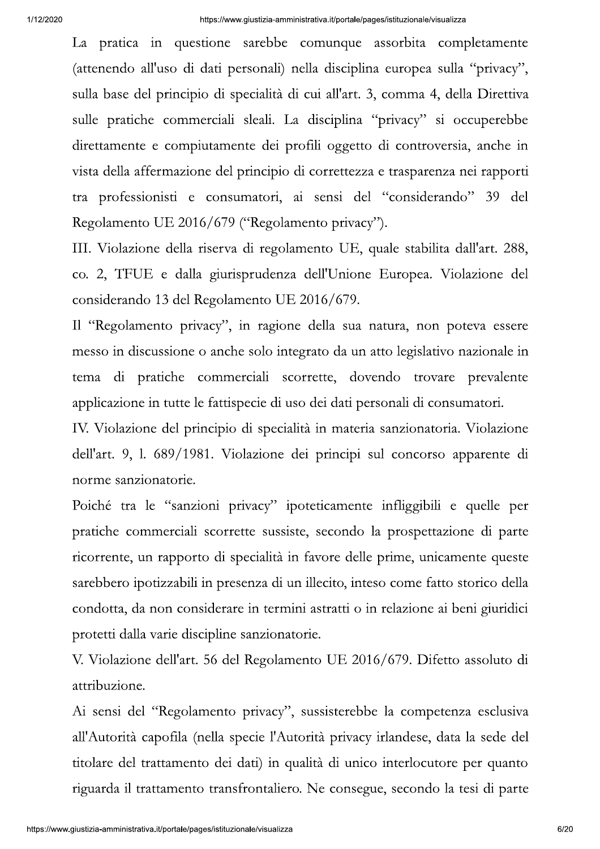La pratica in questione sarebbe comunque assorbita completamente (attenendo all'uso di dati personali) nella disciplina europea sulla "privacy", sulla base del principio di specialità di cui all'art. 3, comma 4, della Direttiva sulle pratiche commerciali sleali. La disciplina "privacy" si occuperebbe direttamente e compiutamente dei profili oggetto di controversia, anche in vista della affermazione del principio di correttezza e trasparenza nei rapporti tra professionisti e consumatori, ai sensi del "considerando" 39 del Regolamento UE 2016/679 ("Regolamento privacy").

III. Violazione della riserva di regolamento UE, quale stabilita dall'art. 288, co. 2, TFUE e dalla giurisprudenza dell'Unione Europea. Violazione del considerando 13 del Regolamento UE 2016/679.

Il "Regolamento privacy", in ragione della sua natura, non poteva essere messo in discussione o anche solo integrato da un atto legislativo nazionale in tema di pratiche commerciali scorrette, dovendo trovare prevalente applicazione in tutte le fattispecie di uso dei dati personali di consumatori.

IV. Violazione del principio di specialità in materia sanzionatoria. Violazione dell'art. 9, l. 689/1981. Violazione dei principi sul concorso apparente di norme sanzionatorie.

Poiché tra le "sanzioni privacy" ipoteticamente infliggibili e quelle per pratiche commerciali scorrette sussiste, secondo la prospettazione di parte ricorrente, un rapporto di specialità in favore delle prime, unicamente queste sarebbero ipotizzabili in presenza di un illecito, inteso come fatto storico della condotta, da non considerare in termini astratti o in relazione ai beni giuridici protetti dalla varie discipline sanzionatorie.

V. Violazione dell'art. 56 del Regolamento UE 2016/679. Difetto assoluto di attribuzione.

Ai sensi del "Regolamento privacy", sussisterebbe la competenza esclusiva all'Autorità capofila (nella specie l'Autorità privacy irlandese, data la sede del titolare del trattamento dei dati) in qualità di unico interlocutore per quanto riguarda il trattamento transfrontaliero. Ne consegue, secondo la tesi di parte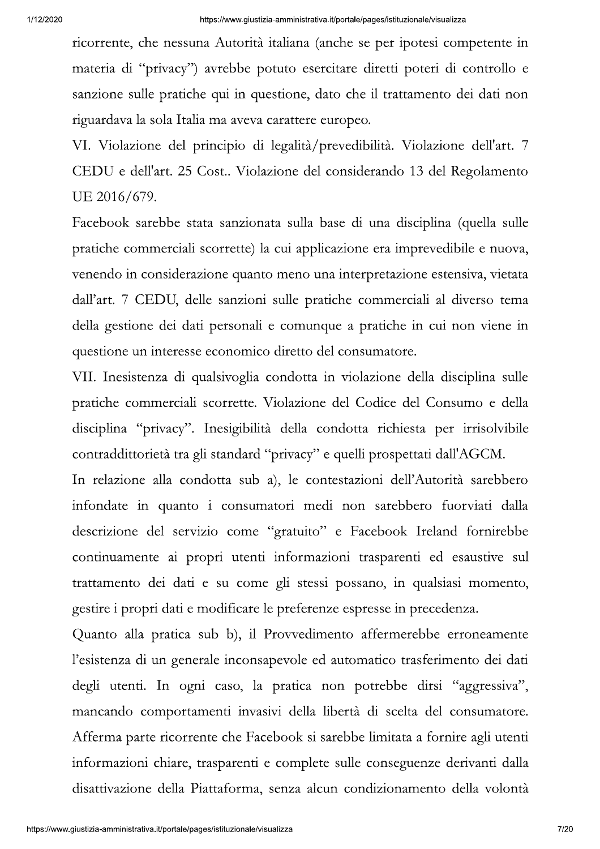ricorrente, che nessuna Autorità italiana (anche se per ipotesi competente in materia di "privacy") avrebbe potuto esercitare diretti poteri di controllo e sanzione sulle pratiche qui in questione, dato che il trattamento dei dati non riguardava la sola Italia ma aveva carattere europeo.

VI. Violazione del principio di legalità/prevedibilità. Violazione dell'art. 7 CEDU e dell'art. 25 Cost.. Violazione del considerando 13 del Regolamento UE 2016/679.

Facebook sarebbe stata sanzionata sulla base di una disciplina (quella sulle pratiche commerciali scorrette) la cui applicazione era imprevedibile e nuova, venendo in considerazione quanto meno una interpretazione estensiva, vietata dall'art. 7 CEDU, delle sanzioni sulle pratiche commerciali al diverso tema della gestione dei dati personali e comunque a pratiche in cui non viene in questione un interesse economico diretto del consumatore.

VII. Inesistenza di qualsivoglia condotta in violazione della disciplina sulle pratiche commerciali scorrette. Violazione del Codice del Consumo e della disciplina "privacy". Inesigibilità della condotta richiesta per irrisolvibile contraddittorietà tra gli standard "privacy" e quelli prospettati dall'AGCM.

In relazione alla condotta sub a), le contestazioni dell'Autorità sarebbero infondate in quanto i consumatori medi non sarebbero fuorviati dalla descrizione del servizio come "gratuito" e Facebook Ireland fornirebbe continuamente ai propri utenti informazioni trasparenti ed esaustive sul trattamento dei dati e su come gli stessi possano, in qualsiasi momento, gestire i propri dati e modificare le preferenze espresse in precedenza.

Quanto alla pratica sub b), il Provvedimento affermerebbe erroneamente l'esistenza di un generale inconsapevole ed automatico trasferimento dei dati degli utenti. In ogni caso, la pratica non potrebbe dirsi "aggressiva", mancando comportamenti invasivi della libertà di scelta del consumatore. Afferma parte ricorrente che Facebook si sarebbe limitata a fornire agli utenti informazioni chiare, trasparenti e complete sulle conseguenze derivanti dalla disattivazione della Piattaforma, senza alcun condizionamento della volontà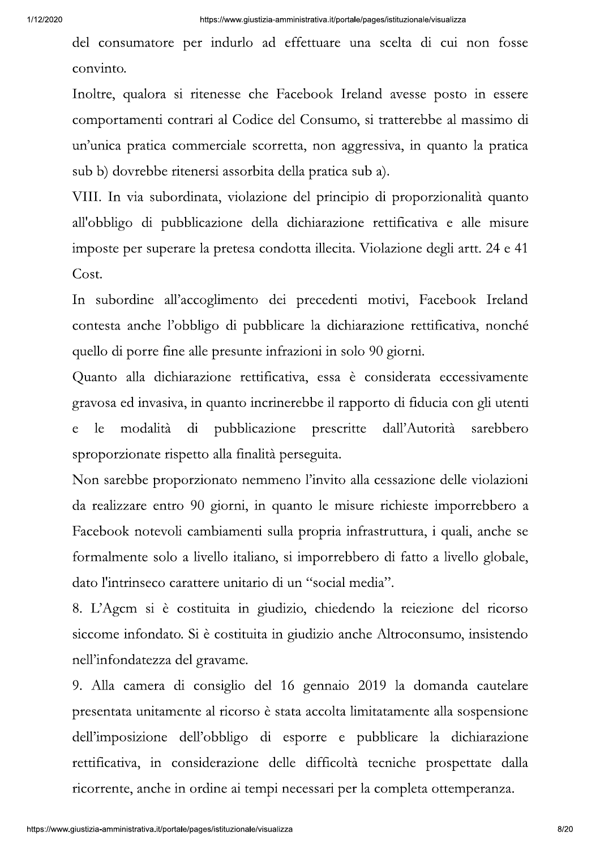del consumatore per indurlo ad effettuare una scelta di cui non fosse convinto.

Inoltre, qualora si ritenesse che Facebook Ireland avesse posto in essere comportamenti contrari al Codice del Consumo, si tratterebbe al massimo di un'unica pratica commerciale scorretta, non aggressiva, in quanto la pratica sub b) dovrebbe ritenersi assorbita della pratica sub a).

VIII. In via subordinata, violazione del principio di proporzionalità quanto all'obbligo di pubblicazione della dichiarazione rettificativa e alle misure imposte per superare la pretesa condotta illecita. Violazione degli artt. 24 e 41 Cost.

In subordine all'accoglimento dei precedenti motivi, Facebook Ireland contesta anche l'obbligo di pubblicare la dichiarazione rettificativa, nonché quello di porre fine alle presunte infrazioni in solo 90 giorni.

Quanto alla dichiarazione rettificativa, essa è considerata eccessivamente gravosa ed invasiva, in quanto incrinerebbe il rapporto di fiducia con gli utenti modalità di pubblicazione dall'Autorità  $\epsilon$ le prescritte sarebbero sproporzionate rispetto alla finalità perseguita.

Non sarebbe proporzionato nemmeno l'invito alla cessazione delle violazioni da realizzare entro 90 giorni, in quanto le misure richieste imporrebbero a Facebook notevoli cambiamenti sulla propria infrastruttura, i quali, anche se formalmente solo a livello italiano, si imporrebbero di fatto a livello globale, dato l'intrinseco carattere unitario di un "social media".

8. L'Agem si è costituita in giudizio, chiedendo la reiezione del ricorso siccome infondato. Si è costituita in giudizio anche Altroconsumo, insistendo nell'infondatezza del gravame.

9. Alla camera di consiglio del 16 gennaio 2019 la domanda cautelare presentata unitamente al ricorso è stata accolta limitatamente alla sospensione dell'imposizione dell'obbligo di esporre e pubblicare la dichiarazione rettificativa, in considerazione delle difficoltà tecniche prospettate dalla ricorrente, anche in ordine ai tempi necessari per la completa ottemperanza.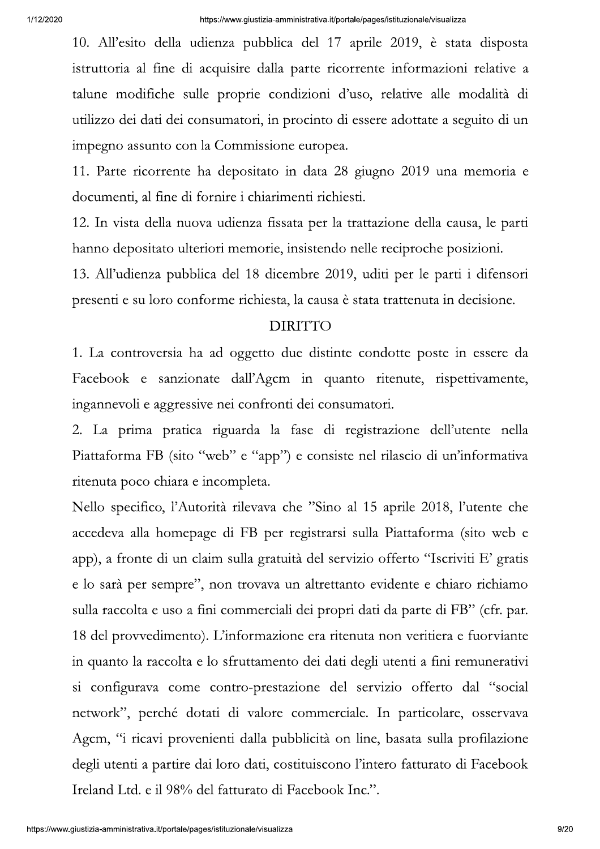10. All'esito della udienza pubblica del 17 aprile 2019, è stata disposta istruttoria al fine di acquisire dalla parte ricorrente informazioni relative a talune modifiche sulle proprie condizioni d'uso, relative alle modalità di utilizzo dei dati dei consumatori, in procinto di essere adottate a seguito di un impegno assunto con la Commissione europea.

11. Parte ricorrente ha depositato in data 28 giugno 2019 una memoria e documenti, al fine di fornire i chiarimenti richiesti.

12. In vista della nuova udienza fissata per la trattazione della causa, le parti hanno depositato ulteriori memorie, insistendo nelle reciproche posizioni.

13. All'udienza pubblica del 18 dicembre 2019, uditi per le parti i difensori presenti e su loro conforme richiesta, la causa è stata trattenuta in decisione.

## **DIRITTO**

1. La controversia ha ad oggetto due distinte condotte poste in essere da Facebook e sanzionate dall'Agcm in quanto ritenute, rispettivamente, ingannevoli e aggressive nei confronti dei consumatori.

2. La prima pratica riguarda la fase di registrazione dell'utente nella Piattaforma FB (sito "web" e "app") e consiste nel rilascio di un'informativa ritenuta poco chiara e incompleta.

Nello specifico, l'Autorità rilevava che "Sino al 15 aprile 2018, l'utente che accedeva alla homepage di FB per registrarsi sulla Piattaforma (sito web e app), a fronte di un claim sulla gratuità del servizio offerto "Iscriviti E' gratis e lo sarà per sempre", non trovava un altrettanto evidente e chiaro richiamo sulla raccolta e uso a fini commerciali dei propri dati da parte di FB" (cfr. par. 18 del provvedimento). L'informazione era ritenuta non veritiera e fuorviante in quanto la raccolta e lo sfruttamento dei dati degli utenti a fini remunerativi si configurava come contro-prestazione del servizio offerto dal "social network", perché dotati di valore commerciale. In particolare, osservava Agcm, "i ricavi provenienti dalla pubblicità on line, basata sulla profilazione degli utenti a partire dai loro dati, costituiscono l'intero fatturato di Facebook Ireland Ltd. e il 98% del fatturato di Facebook Inc.".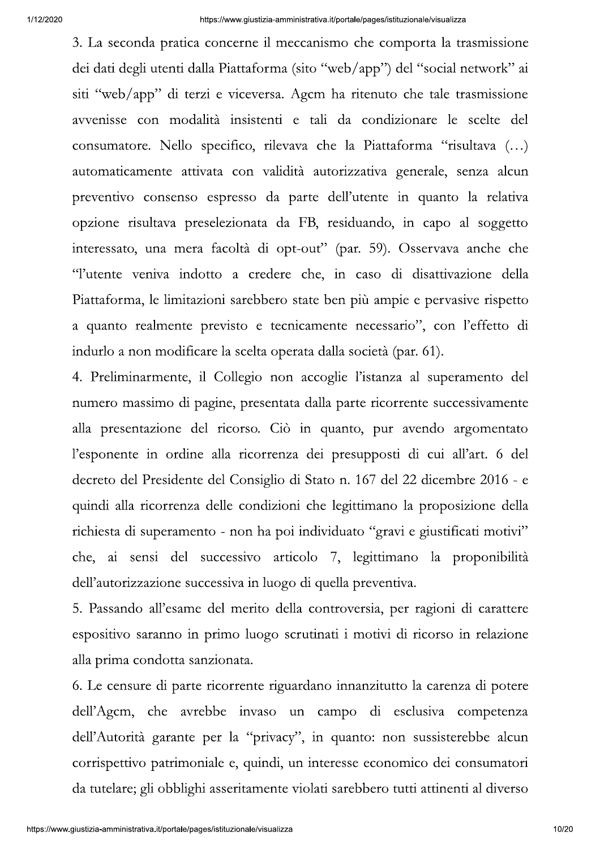3. La seconda pratica concerne il meccanismo che comporta la trasmissione dei dati degli utenti dalla Piattaforma (sito "web/app") del "social network" ai siti "web/app" di terzi e viceversa. Agcm ha ritenuto che tale trasmissione avvenisse con modalità insistenti e tali da condizionare le scelte del consumatore. Nello specifico, rilevava che la Piattaforma "risultava (...) automaticamente attivata con validità autorizzativa generale, senza alcun preventivo consenso espresso da parte dell'utente in quanto la relativa opzione risultava preselezionata da FB, residuando, in capo al soggetto interessato, una mera facoltà di opt-out" (par. 59). Osservava anche che "l'utente veniva indotto a credere che, in caso di disattivazione della Piattaforma, le limitazioni sarebbero state ben più ampie e pervasive rispetto a quanto realmente previsto e tecnicamente necessario", con l'effetto di indurlo a non modificare la scelta operata dalla società (par. 61).

4. Preliminarmente, il Collegio non accoglie l'istanza al superamento del numero massimo di pagine, presentata dalla parte ricorrente successivamente alla presentazione del ricorso. Ciò in quanto, pur avendo argomentato l'esponente in ordine alla ricorrenza dei presupposti di cui all'art. 6 del decreto del Presidente del Consiglio di Stato n. 167 del 22 dicembre 2016 - e quindi alla ricorrenza delle condizioni che legittimano la proposizione della richiesta di superamento - non ha poi individuato "gravi e giustificati motivi" che, ai sensi del successivo articolo 7, legittimano la proponibilità dell'autorizzazione successiva in luogo di quella preventiva.

5. Passando all'esame del merito della controversia, per ragioni di carattere espositivo saranno in primo luogo scrutinati i motivi di ricorso in relazione alla prima condotta sanzionata.

6. Le censure di parte ricorrente riguardano innanzitutto la carenza di potere dell'Agcm, che avrebbe invaso un campo di esclusiva competenza dell'Autorità garante per la "privacy", in quanto: non sussisterebbe alcun corrispettivo patrimoniale e, quindi, un interesse economico dei consumatori da tutelare; gli obblighi asseritamente violati sarebbero tutti attinenti al diverso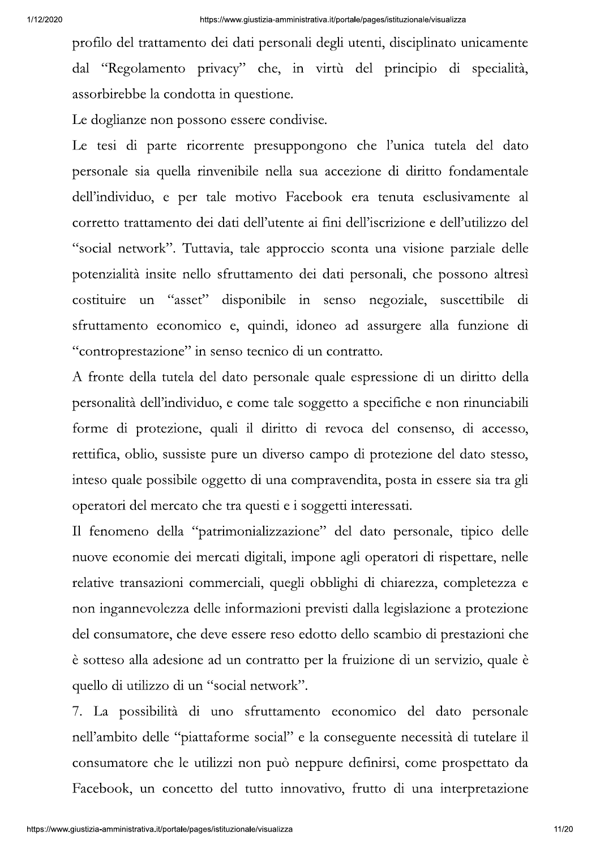profilo del trattamento dei dati personali degli utenti, disciplinato unicamente dal "Regolamento privacy" che, in virtù del principio di specialità, assorbirebbe la condotta in questione.

Le doglianze non possono essere condivise.

Le tesi di parte ricorrente presuppongono che l'unica tutela del dato personale sia quella rinvenibile nella sua accezione di diritto fondamentale dell'individuo, e per tale motivo Facebook era tenuta esclusivamente al corretto trattamento dei dati dell'utente ai fini dell'iscrizione e dell'utilizzo del "social network". Tuttavia, tale approccio sconta una visione parziale delle potenzialità insite nello sfruttamento dei dati personali, che possono altresì costituire un "asset" disponibile in senso negoziale, suscettibile di sfruttamento economico e, quindi, idoneo ad assurgere alla funzione di "controprestazione" in senso tecnico di un contratto.

A fronte della tutela del dato personale quale espressione di un diritto della personalità dell'individuo, e come tale soggetto a specifiche e non rinunciabili forme di protezione, quali il diritto di revoca del consenso, di accesso, rettifica, oblio, sussiste pure un diverso campo di protezione del dato stesso, inteso quale possibile oggetto di una compravendita, posta in essere sia tra gli operatori del mercato che tra questi e i soggetti interessati.

Il fenomeno della "patrimonializzazione" del dato personale, tipico delle nuove economie dei mercati digitali, impone agli operatori di rispettare, nelle relative transazioni commerciali, quegli obblighi di chiarezza, completezza e non ingannevolezza delle informazioni previsti dalla legislazione a protezione del consumatore, che deve essere reso edotto dello scambio di prestazioni che è sotteso alla adesione ad un contratto per la fruizione di un servizio, quale è quello di utilizzo di un "social network".

7. La possibilità di uno sfruttamento economico del dato personale nell'ambito delle "piattaforme social" e la conseguente necessità di tutelare il consumatore che le utilizzi non può neppure definirsi, come prospettato da Facebook, un concetto del tutto innovativo, frutto di una interpretazione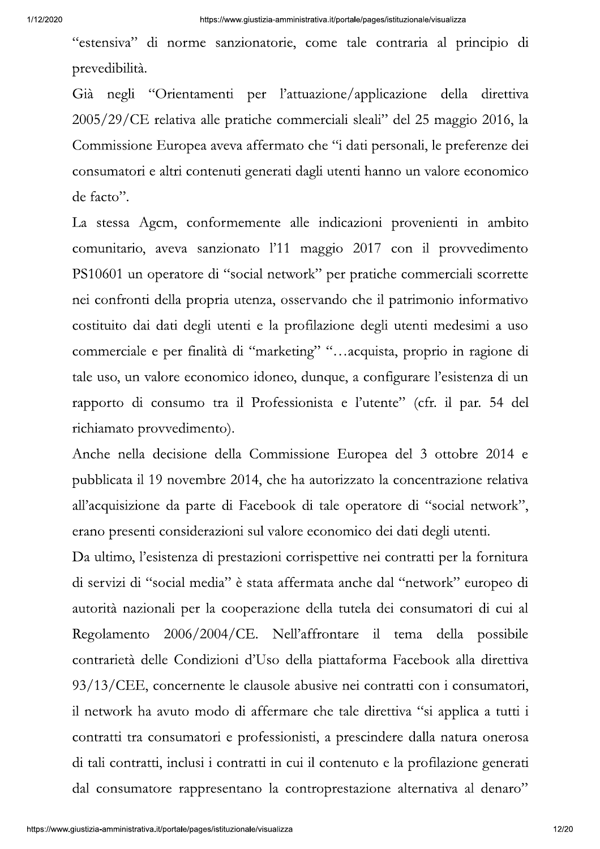"estensiva" di norme sanzionatorie, come tale contraria al principio di prevedibilità.

Già negli "Orientamenti per l'attuazione/applicazione della direttiva 2005/29/CE relativa alle pratiche commerciali sleali" del 25 maggio 2016, la Commissione Europea aveva affermato che "i dati personali, le preferenze dei consumatori e altri contenuti generati dagli utenti hanno un valore economico de facto".

La stessa Agcm, conformemente alle indicazioni provenienti in ambito comunitario, aveva sanzionato l'11 maggio 2017 con il provvedimento PS10601 un operatore di "social network" per pratiche commerciali scorrette nei confronti della propria utenza, osservando che il patrimonio informativo costituito dai dati degli utenti e la profilazione degli utenti medesimi a uso commerciale e per finalità di "marketing" "...acquista, proprio in ragione di tale uso, un valore economico idoneo, dunque, a configurare l'esistenza di un rapporto di consumo tra il Professionista e l'utente" (cfr. il par. 54 del richiamato provvedimento).

Anche nella decisione della Commissione Europea del 3 ottobre 2014 e pubblicata il 19 novembre 2014, che ha autorizzato la concentrazione relativa all'acquisizione da parte di Facebook di tale operatore di "social network", erano presenti considerazioni sul valore economico dei dati degli utenti.

Da ultimo, l'esistenza di prestazioni corrispettive nei contratti per la fornitura di servizi di "social media" è stata affermata anche dal "network" europeo di autorità nazionali per la cooperazione della tutela dei consumatori di cui al 2006/2004/CE. Nell'affrontare il tema della possibile Regolamento contrarietà delle Condizioni d'Uso della piattaforma Facebook alla direttiva 93/13/CEE, concernente le clausole abusive nei contratti con i consumatori, il network ha avuto modo di affermare che tale direttiva "si applica a tutti i contratti tra consumatori e professionisti, a prescindere dalla natura onerosa di tali contratti, inclusi i contratti in cui il contenuto e la profilazione generati dal consumatore rappresentano la controprestazione alternativa al denaro"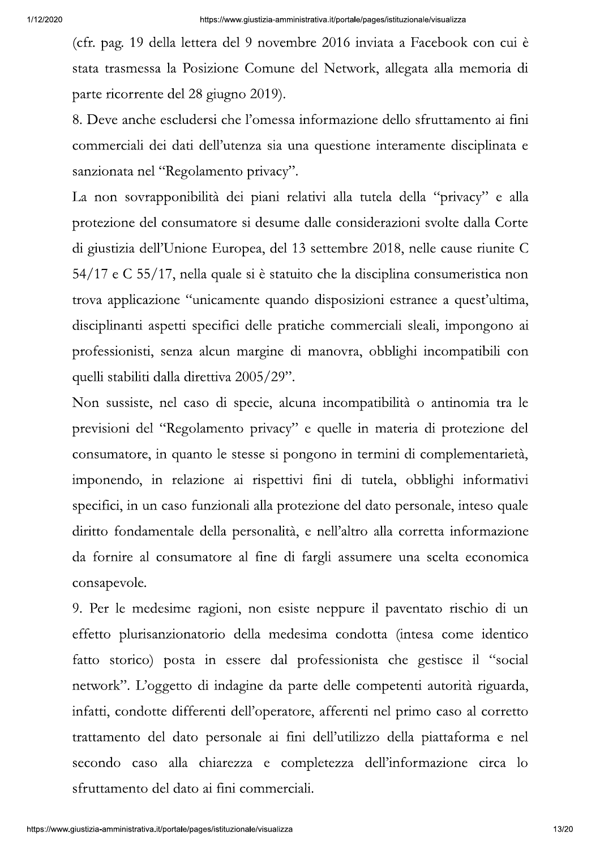(cfr. pag. 19 della lettera del 9 novembre 2016 inviata a Facebook con cui è stata trasmessa la Posizione Comune del Network, allegata alla memoria di parte ricorrente del 28 giugno 2019).

8. Deve anche escludersi che l'omessa informazione dello sfruttamento ai fini commerciali dei dati dell'utenza sia una questione interamente disciplinata e sanzionata nel "Regolamento privacy".

La non sovrapponibilità dei piani relativi alla tutela della "privacy" e alla protezione del consumatore si desume dalle considerazioni svolte dalla Corte di giustizia dell'Unione Europea, del 13 settembre 2018, nelle cause riunite C 54/17 e C 55/17, nella quale si è statuito che la disciplina consumeristica non trova applicazione "unicamente quando disposizioni estranee a quest'ultima, disciplinanti aspetti specifici delle pratiche commerciali sleali, impongono ai professionisti, senza alcun margine di manovra, obblighi incompatibili con quelli stabiliti dalla direttiva 2005/29".

Non sussiste, nel caso di specie, alcuna incompatibilità o antinomia tra le previsioni del "Regolamento privacy" e quelle in materia di protezione del consumatore, in quanto le stesse si pongono in termini di complementarietà, imponendo, in relazione ai rispettivi fini di tutela, obblighi informativi specifici, in un caso funzionali alla protezione del dato personale, inteso quale diritto fondamentale della personalità, e nell'altro alla corretta informazione da fornire al consumatore al fine di fargli assumere una scelta economica consapevole.

9. Per le medesime ragioni, non esiste neppure il paventato rischio di un effetto plurisanzionatorio della medesima condotta (intesa come identico fatto storico) posta in essere dal professionista che gestisce il "social network". L'oggetto di indagine da parte delle competenti autorità riguarda, infatti, condotte differenti dell'operatore, afferenti nel primo caso al corretto trattamento del dato personale ai fini dell'utilizzo della piattaforma e nel secondo caso alla chiarezza e completezza dell'informazione circa lo sfruttamento del dato ai fini commerciali.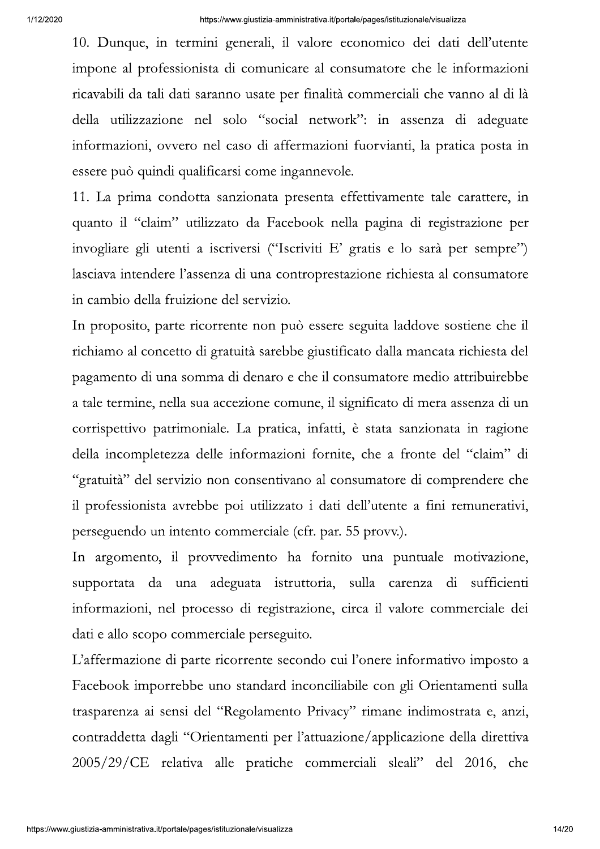10. Dunque, in termini generali, il valore economico dei dati dell'utente impone al professionista di comunicare al consumatore che le informazioni ricavabili da tali dati saranno usate per finalità commerciali che vanno al di là della utilizzazione nel solo "social network": in assenza di adeguate informazioni, ovvero nel caso di affermazioni fuorvianti, la pratica posta in essere può quindi qualificarsi come ingannevole.

11. La prima condotta sanzionata presenta effettivamente tale carattere, in quanto il "claim" utilizzato da Facebook nella pagina di registrazione per invogliare gli utenti a iscriversi ("Iscriviti E' gratis e lo sarà per sempre") lasciava intendere l'assenza di una controprestazione richiesta al consumatore in cambio della fruizione del servizio.

In proposito, parte ricorrente non può essere seguita laddove sostiene che il richiamo al concetto di gratuità sarebbe giustificato dalla mancata richiesta del pagamento di una somma di denaro e che il consumatore medio attribuirebbe a tale termine, nella sua accezione comune, il significato di mera assenza di un corrispettivo patrimoniale. La pratica, infatti, è stata sanzionata in ragione della incompletezza delle informazioni fornite, che a fronte del "claim" di "gratuità" del servizio non consentivano al consumatore di comprendere che il professionista avrebbe poi utilizzato i dati dell'utente a fini remunerativi, perseguendo un intento commerciale (cfr. par. 55 provv.).

In argomento, il provvedimento ha fornito una puntuale motivazione, supportata da una adeguata istruttoria, sulla carenza di sufficienti informazioni, nel processo di registrazione, circa il valore commerciale dei dati e allo scopo commerciale perseguito.

L'affermazione di parte ricorrente secondo cui l'onere informativo imposto a Facebook imporrebbe uno standard inconciliabile con gli Orientamenti sulla trasparenza ai sensi del "Regolamento Privacy" rimane indimostrata e, anzi, contraddetta dagli "Orientamenti per l'attuazione/applicazione della direttiva 2005/29/CE relativa alle pratiche commerciali sleali" del 2016, che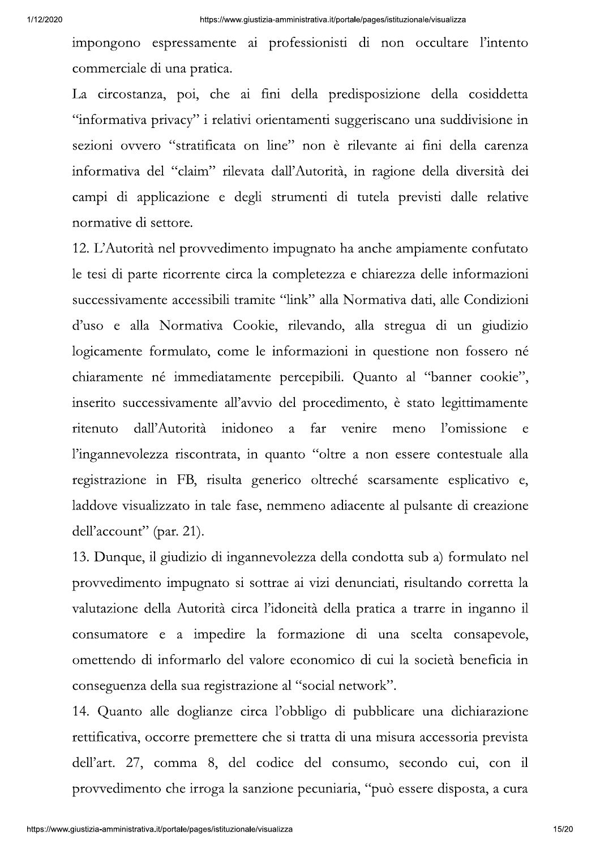impongono espressamente ai professionisti di non occultare l'intento commerciale di una pratica.

La circostanza, poi, che ai fini della predisposizione della cosiddetta "informativa privacy" i relativi orientamenti suggeriscano una suddivisione in sezioni ovvero "stratificata on line" non è rilevante ai fini della carenza informativa del "claim" rilevata dall'Autorità, in ragione della diversità dei campi di applicazione e degli strumenti di tutela previsti dalle relative normative di settore.

12. L'Autorità nel provvedimento impugnato ha anche ampiamente confutato le tesi di parte ricorrente circa la completezza e chiarezza delle informazioni successivamente accessibili tramite "link" alla Normativa dati, alle Condizioni d'uso e alla Normativa Cookie, rilevando, alla stregua di un giudizio logicamente formulato, come le informazioni in questione non fossero né chiaramente né immediatamente percepibili. Quanto al "banner cookie", inserito successivamente all'avvio del procedimento, è stato legittimamente dall'Autorità inidoneo a far venire meno l'omissione ritenuto  $\mathbf{e}$ l'ingannevolezza riscontrata, in quanto "oltre a non essere contestuale alla registrazione in FB, risulta generico oltreché scarsamente esplicativo e, laddove visualizzato in tale fase, nemmeno adiacente al pulsante di creazione dell'account" (par. 21).

13. Dunque, il giudizio di ingannevolezza della condotta sub a) formulato nel provvedimento impugnato si sottrae ai vizi denunciati, risultando corretta la valutazione della Autorità circa l'idoneità della pratica a trarre in inganno il consumatore e a impedire la formazione di una scelta consapevole, omettendo di informarlo del valore economico di cui la società beneficia in conseguenza della sua registrazione al "social network".

14. Quanto alle doglianze circa l'obbligo di pubblicare una dichiarazione rettificativa, occorre premettere che si tratta di una misura accessoria prevista dell'art. 27, comma 8, del codice del consumo, secondo cui, con il provvedimento che irroga la sanzione pecuniaria, "può essere disposta, a cura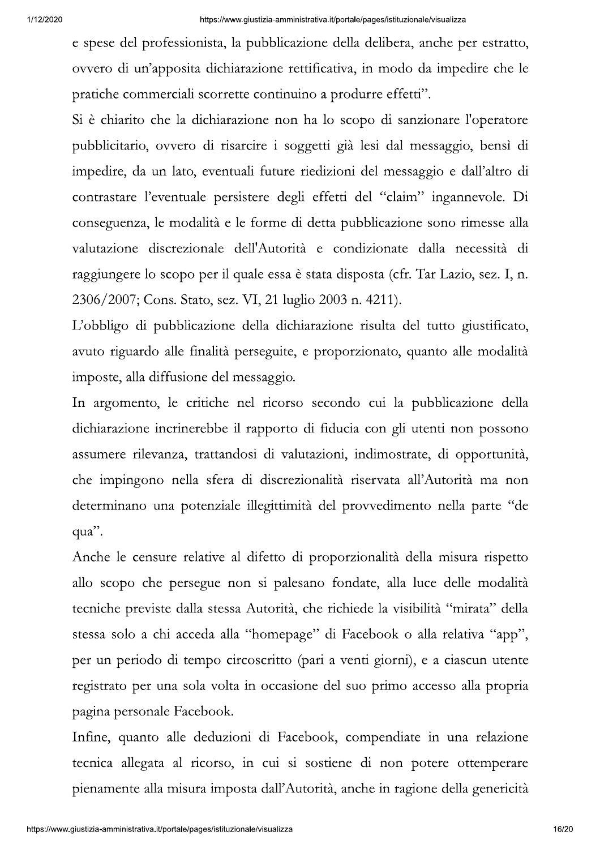e spese del professionista, la pubblicazione della delibera, anche per estratto, ovvero di un'apposita dichiarazione rettificativa, in modo da impedire che le pratiche commerciali scorrette continuino a produrre effetti".

Si è chiarito che la dichiarazione non ha lo scopo di sanzionare l'operatore pubblicitario, ovvero di risarcire i soggetti già lesi dal messaggio, bensì di impedire, da un lato, eventuali future riedizioni del messaggio e dall'altro di contrastare l'eventuale persistere degli effetti del "claim" ingannevole. Di conseguenza, le modalità e le forme di detta pubblicazione sono rimesse alla valutazione discrezionale dell'Autorità e condizionate dalla necessità di raggiungere lo scopo per il quale essa è stata disposta (cfr. Tar Lazio, sez. I, n. 2306/2007; Cons. Stato, sez. VI, 21 luglio 2003 n. 4211).

L'obbligo di pubblicazione della dichiarazione risulta del tutto giustificato, avuto riguardo alle finalità perseguite, e proporzionato, quanto alle modalità imposte, alla diffusione del messaggio.

In argomento, le critiche nel ricorso secondo cui la pubblicazione della dichiarazione incrinerebbe il rapporto di fiducia con gli utenti non possono assumere rilevanza, trattandosi di valutazioni, indimostrate, di opportunità, che impingono nella sfera di discrezionalità riservata all'Autorità ma non determinano una potenziale illegittimità del provvedimento nella parte "de qua".

Anche le censure relative al difetto di proporzionalità della misura rispetto allo scopo che persegue non si palesano fondate, alla luce delle modalità tecniche previste dalla stessa Autorità, che richiede la visibilità "mirata" della stessa solo a chi acceda alla "homepage" di Facebook o alla relativa "app", per un periodo di tempo circoscritto (pari a venti giorni), e a ciascun utente registrato per una sola volta in occasione del suo primo accesso alla propria pagina personale Facebook.

Infine, quanto alle deduzioni di Facebook, compendiate in una relazione tecnica allegata al ricorso, in cui si sostiene di non potere ottemperare pienamente alla misura imposta dall'Autorità, anche in ragione della genericità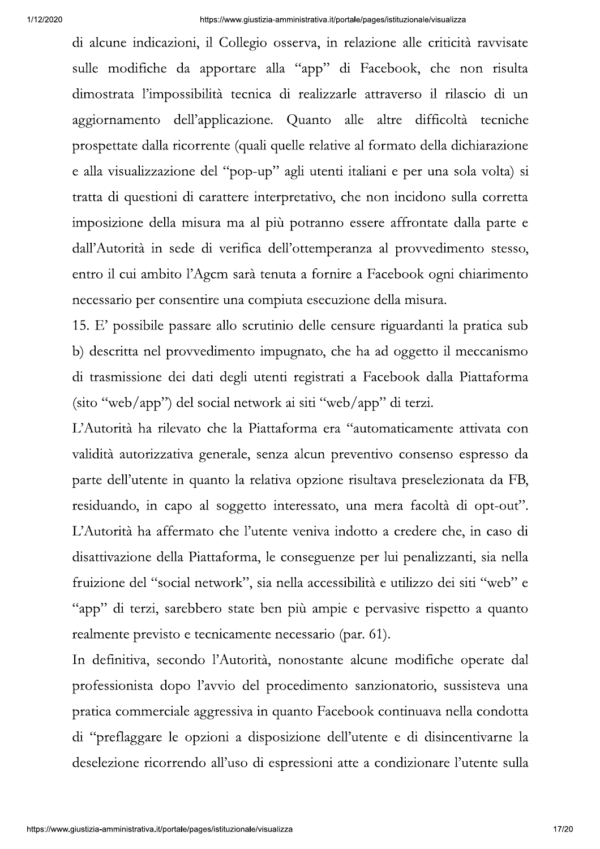di alcune indicazioni, il Collegio osserva, in relazione alle criticità ravvisate sulle modifiche da apportare alla "app" di Facebook, che non risulta dimostrata l'impossibilità tecnica di realizzarle attraverso il rilascio di un aggiornamento dell'applicazione. Quanto alle altre difficoltà tecniche prospettate dalla ricorrente (quali quelle relative al formato della dichiarazione e alla visualizzazione del "pop-up" agli utenti italiani e per una sola volta) si tratta di questioni di carattere interpretativo, che non incidono sulla corretta imposizione della misura ma al più potranno essere affrontate dalla parte e dall'Autorità in sede di verifica dell'ottemperanza al provvedimento stesso, entro il cui ambito l'Agem sarà tenuta a fornire a Facebook ogni chiarimento necessario per consentire una compiuta esecuzione della misura.

15. E' possibile passare allo scrutinio delle censure riguardanti la pratica sub b) descritta nel provvedimento impugnato, che ha ad oggetto il meccanismo di trasmissione dei dati degli utenti registrati a Facebook dalla Piattaforma  $(\text{sito "web/app")$  del social network ai siti "web/app" di terzi.

L'Autorità ha rilevato che la Piattaforma era "automaticamente attivata con validità autorizzativa generale, senza alcun preventivo consenso espresso da parte dell'utente in quanto la relativa opzione risultava preselezionata da FB, residuando, in capo al soggetto interessato, una mera facoltà di opt-out". L'Autorità ha affermato che l'utente veniva indotto a credere che, in caso di disattivazione della Piattaforma, le conseguenze per lui penalizzanti, sia nella fruizione del "social network", sia nella accessibilità e utilizzo dei siti "web" e "app" di terzi, sarebbero state ben più ampie e pervasive rispetto a quanto realmente previsto e tecnicamente necessario (par. 61).

In definitiva, secondo l'Autorità, nonostante alcune modifiche operate dal professionista dopo l'avvio del procedimento sanzionatorio, sussisteva una pratica commerciale aggressiva in quanto Facebook continuava nella condotta di "preflaggare le opzioni a disposizione dell'utente e di disincentivarne la deselezione ricorrendo all'uso di espressioni atte a condizionare l'utente sulla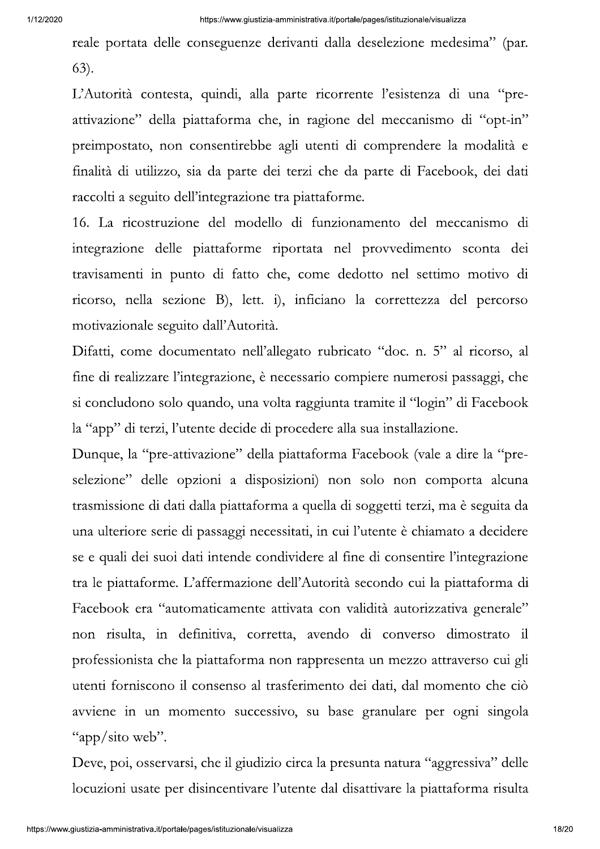reale portata delle conseguenze derivanti dalla deselezione medesima" (par.  $(63)$ .

L'Autorità contesta, quindi, alla parte ricorrente l'esistenza di una "preattivazione" della piattaforma che, in ragione del meccanismo di "opt-in" preimpostato, non consentirebbe agli utenti di comprendere la modalità e finalità di utilizzo, sia da parte dei terzi che da parte di Facebook, dei dati raccolti a seguito dell'integrazione tra piattaforme.

16. La ricostruzione del modello di funzionamento del meccanismo di integrazione delle piattaforme riportata nel provvedimento sconta dei travisamenti in punto di fatto che, come dedotto nel settimo motivo di ricorso, nella sezione B), lett. i), inficiano la correttezza del percorso motivazionale seguito dall'Autorità.

Difatti, come documentato nell'allegato rubricato "doc. n. 5" al ricorso, al fine di realizzare l'integrazione, è necessario compiere numerosi passaggi, che si concludono solo quando, una volta raggiunta tramite il "login" di Facebook la "app" di terzi, l'utente decide di procedere alla sua installazione.

Dunque, la "pre-attivazione" della piattaforma Facebook (vale a dire la "preselezione" delle opzioni a disposizioni) non solo non comporta alcuna trasmissione di dati dalla piattaforma a quella di soggetti terzi, ma è seguita da una ulteriore serie di passaggi necessitati, in cui l'utente è chiamato a decidere se e quali dei suoi dati intende condividere al fine di consentire l'integrazione tra le piattaforme. L'affermazione dell'Autorità secondo cui la piattaforma di Facebook era "automaticamente attivata con validità autorizzativa generale" non risulta, in definitiva, corretta, avendo di converso dimostrato il professionista che la piattaforma non rappresenta un mezzo attraverso cui gli utenti forniscono il consenso al trasferimento dei dati, dal momento che ciò avviene in un momento successivo, su base granulare per ogni singola "app/sito web".

Deve, poi, osservarsi, che il giudizio circa la presunta natura "aggressiva" delle locuzioni usate per disincentivare l'utente dal disattivare la piattaforma risulta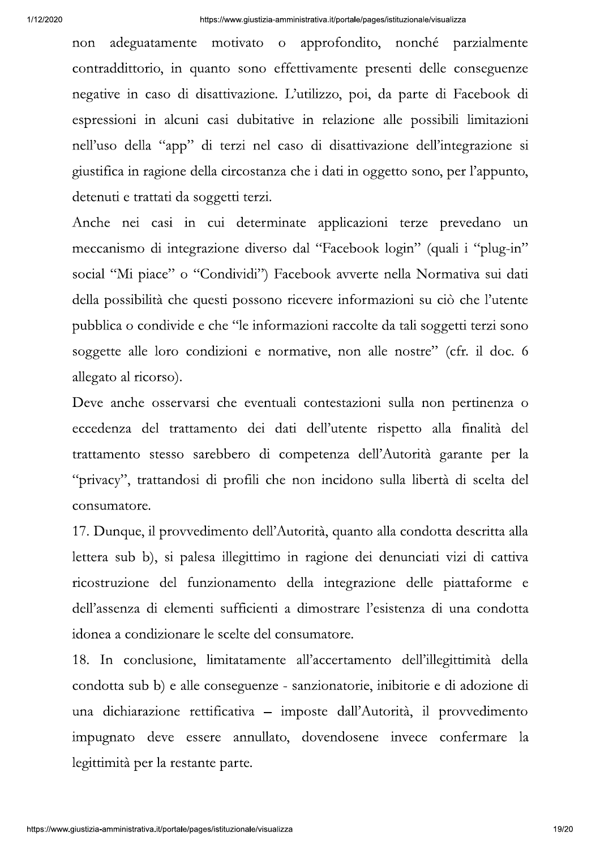adeguatamente motivato o approfondito, nonché parzialmente non contraddittorio, in quanto sono effettivamente presenti delle conseguenze negative in caso di disattivazione. L'utilizzo, poi, da parte di Facebook di espressioni in alcuni casi dubitative in relazione alle possibili limitazioni nell'uso della "app" di terzi nel caso di disattivazione dell'integrazione si giustifica in ragione della circostanza che i dati in oggetto sono, per l'appunto, detenuti e trattati da soggetti terzi.

Anche nei casi in cui determinate applicazioni terze prevedano un meccanismo di integrazione diverso dal "Facebook login" (quali i "plug-in" social "Mi piace" o "Condividi") Facebook avverte nella Normativa sui dati della possibilità che questi possono ricevere informazioni su ciò che l'utente pubblica o condivide e che "le informazioni raccolte da tali soggetti terzi sono soggette alle loro condizioni e normative, non alle nostre" (cfr. il doc. 6 allegato al ricorso).

Deve anche osservarsi che eventuali contestazioni sulla non pertinenza o eccedenza del trattamento dei dati dell'utente rispetto alla finalità del trattamento stesso sarebbero di competenza dell'Autorità garante per la "privacy", trattandosi di profili che non incidono sulla libertà di scelta del consumatore.

17. Dunque, il provvedimento dell'Autorità, quanto alla condotta descritta alla lettera sub b), si palesa illegittimo in ragione dei denunciati vizi di cattiva ricostruzione del funzionamento della integrazione delle piattaforme e dell'assenza di elementi sufficienti a dimostrare l'esistenza di una condotta idonea a condizionare le scelte del consumatore.

18. In conclusione, limitatamente all'accertamento dell'illegittimità della condotta sub b) e alle conseguenze - sanzionatorie, inibitorie e di adozione di una dichiarazione rettificativa – imposte dall'Autorità, il provvedimento impugnato deve essere annullato, dovendosene invece confermare la legittimità per la restante parte.